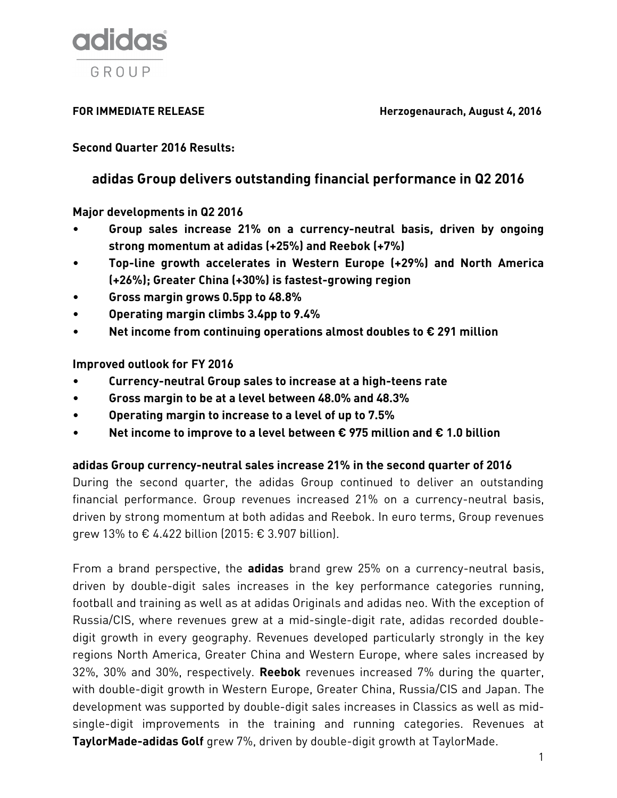

**FOR IMMEDIATE RELEASE Herzogenaurach, August 4, 2016** 

**Second Quarter 2016 Results:**

# **adidas Group delivers outstanding financial performance in Q2 2016**

**Major developments in Q2 2016**

- **Group sales increase 21% on a currency-neutral basis, driven by ongoing strong momentum at adidas (+25%) and Reebok (+7%)**
- **Top-line growth accelerates in Western Europe (+29%) and North America (+26%); Greater China (+30%) is fastest-growing region**
- **Gross margin grows 0.5pp to 48.8%**
- **Operating margin climbs 3.4pp to 9.4%**
- **Net income from continuing operations almost doubles to € 291 million**

**Improved outlook for FY 2016**

- **Currency-neutral Group sales to increase at a high-teens rate**
- **Gross margin to be at a level between 48.0% and 48.3%**
- **Operating margin to increase to a level of up to 7.5%**
- **Net income to improve to a level between € 975 million and € 1.0 billion**

# **adidas Group currency-neutral sales increase 21% in the second quarter of 2016**

During the second quarter, the adidas Group continued to deliver an outstanding financial performance. Group revenues increased 21% on a currency-neutral basis, driven by strong momentum at both adidas and Reebok. In euro terms, Group revenues grew 13% to € 4.422 billion (2015: € 3.907 billion).

From a brand perspective, the **adidas** brand grew 25% on a currency-neutral basis, driven by double-digit sales increases in the key performance categories running, football and training as well as at adidas Originals and adidas neo. With the exception of Russia/CIS, where revenues grew at a mid-single-digit rate, adidas recorded doubledigit growth in every geography. Revenues developed particularly strongly in the key regions North America, Greater China and Western Europe, where sales increased by 32%, 30% and 30%, respectively. **Reebok** revenues increased 7% during the quarter, with double-digit growth in Western Europe, Greater China, Russia/CIS and Japan. The development was supported by double-digit sales increases in Classics as well as midsingle-digit improvements in the training and running categories. Revenues at **TaylorMade-adidas Golf** grew 7%, driven by double-digit growth at TaylorMade.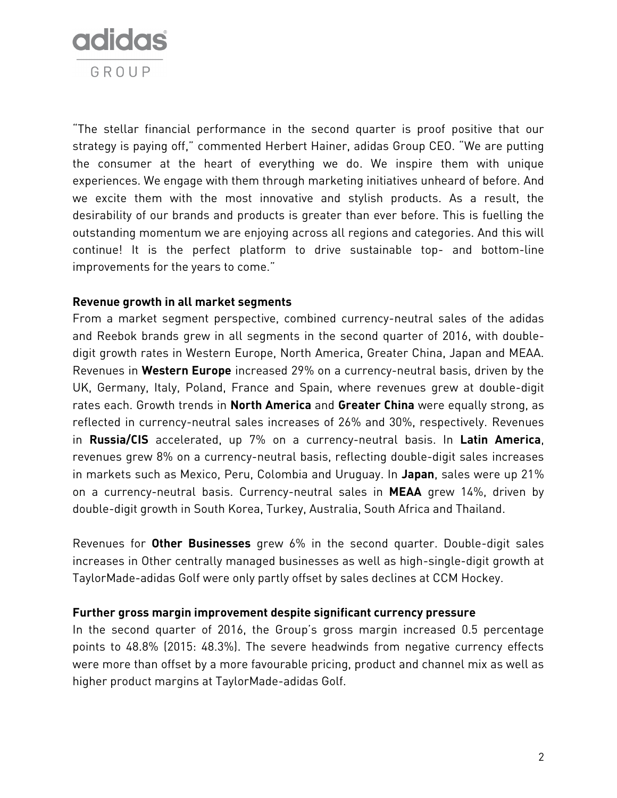

"The stellar financial performance in the second quarter is proof positive that our strategy is paying off," commented Herbert Hainer, adidas Group CEO. "We are putting the consumer at the heart of everything we do. We inspire them with unique experiences. We engage with them through marketing initiatives unheard of before. And we excite them with the most innovative and stylish products. As a result, the desirability of our brands and products is greater than ever before. This is fuelling the outstanding momentum we are enjoying across all regions and categories. And this will continue! It is the perfect platform to drive sustainable top- and bottom-line improvements for the years to come."

# **Revenue growth in all market segments**

From a market segment perspective, combined currency-neutral sales of the adidas and Reebok brands grew in all segments in the second quarter of 2016, with doubledigit growth rates in Western Europe, North America, Greater China, Japan and MEAA. Revenues in **Western Europe** increased 29% on a currency-neutral basis, driven by the UK, Germany, Italy, Poland, France and Spain, where revenues grew at double-digit rates each. Growth trends in **North America** and **Greater China** were equally strong, as reflected in currency-neutral sales increases of 26% and 30%, respectively. Revenues in **Russia/CIS** accelerated, up 7% on a currency-neutral basis. In **Latin America**, revenues grew 8% on a currency-neutral basis, reflecting double-digit sales increases in markets such as Mexico, Peru, Colombia and Uruguay. In **Japan**, sales were up 21% on a currency-neutral basis. Currency-neutral sales in **MEAA** grew 14%, driven by double-digit growth in South Korea, Turkey, Australia, South Africa and Thailand.

Revenues for **Other Businesses** grew 6% in the second quarter. Double-digit sales increases in Other centrally managed businesses as well as high-single-digit growth at TaylorMade-adidas Golf were only partly offset by sales declines at CCM Hockey.

## **Further gross margin improvement despite significant currency pressure**

In the second quarter of 2016, the Group's gross margin increased 0.5 percentage points to 48.8% (2015: 48.3%). The severe headwinds from negative currency effects were more than offset by a more favourable pricing, product and channel mix as well as higher product margins at TaylorMade-adidas Golf.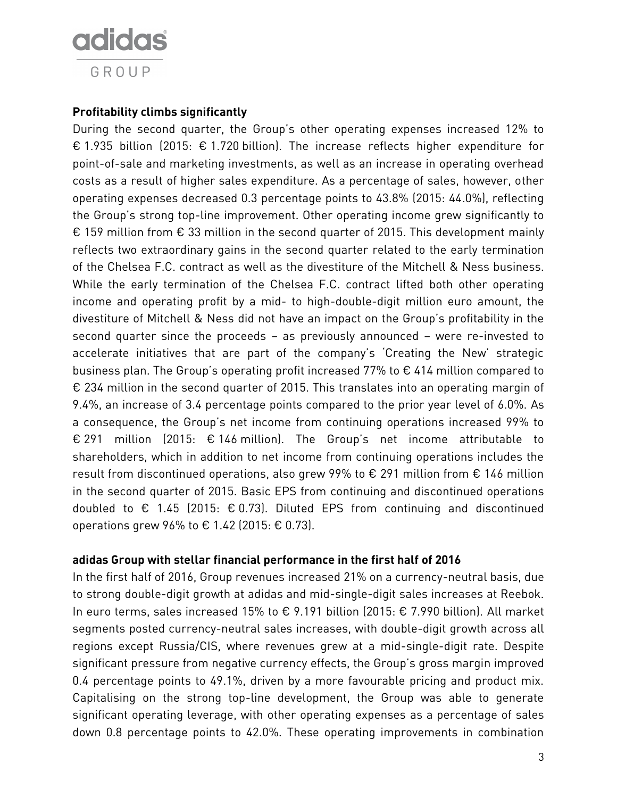

# **Profitability climbs significantly**

During the second quarter, the Group's other operating expenses increased 12% to € 1.935 billion (2015: € 1.720 billion). The increase reflects higher expenditure for point-of-sale and marketing investments, as well as an increase in operating overhead costs as a result of higher sales expenditure. As a percentage of sales, however, other operating expenses decreased 0.3 percentage points to 43.8% (2015: 44.0%), reflecting the Group's strong top-line improvement. Other operating income grew significantly to € 159 million from € 33 million in the second quarter of 2015. This development mainly reflects two extraordinary gains in the second quarter related to the early termination of the Chelsea F.C. contract as well as the divestiture of the Mitchell & Ness business. While the early termination of the Chelsea F.C. contract lifted both other operating income and operating profit by a mid- to high-double-digit million euro amount, the divestiture of Mitchell & Ness did not have an impact on the Group's profitability in the second quarter since the proceeds – as previously announced – were re-invested to accelerate initiatives that are part of the company's 'Creating the New' strategic business plan. The Group's operating profit increased 77% to € 414 million compared to € 234 million in the second quarter of 2015. This translates into an operating margin of 9.4%, an increase of 3.4 percentage points compared to the prior year level of 6.0%. As a consequence, the Group's net income from continuing operations increased 99% to € 291 million (2015: € 146 million). The Group's net income attributable to shareholders, which in addition to net income from continuing operations includes the result from discontinued operations, also grew 99% to € 291 million from € 146 million in the second quarter of 2015. Basic EPS from continuing and discontinued operations doubled to € 1.45 (2015: € 0.73). Diluted EPS from continuing and discontinued operations grew 96% to  $\epsilon$  1.42 (2015:  $\epsilon$  0.73).

# **adidas Group with stellar financial performance in the first half of 2016**

In the first half of 2016, Group revenues increased 21% on a currency-neutral basis, due to strong double-digit growth at adidas and mid-single-digit sales increases at Reebok. In euro terms, sales increased 15% to € 9.191 billion (2015: € 7.990 billion). All market segments posted currency-neutral sales increases, with double-digit growth across all regions except Russia/CIS, where revenues grew at a mid-single-digit rate. Despite significant pressure from negative currency effects, the Group's gross margin improved 0.4 percentage points to 49.1%, driven by a more favourable pricing and product mix. Capitalising on the strong top-line development, the Group was able to generate significant operating leverage, with other operating expenses as a percentage of sales down 0.8 percentage points to 42.0%. These operating improvements in combination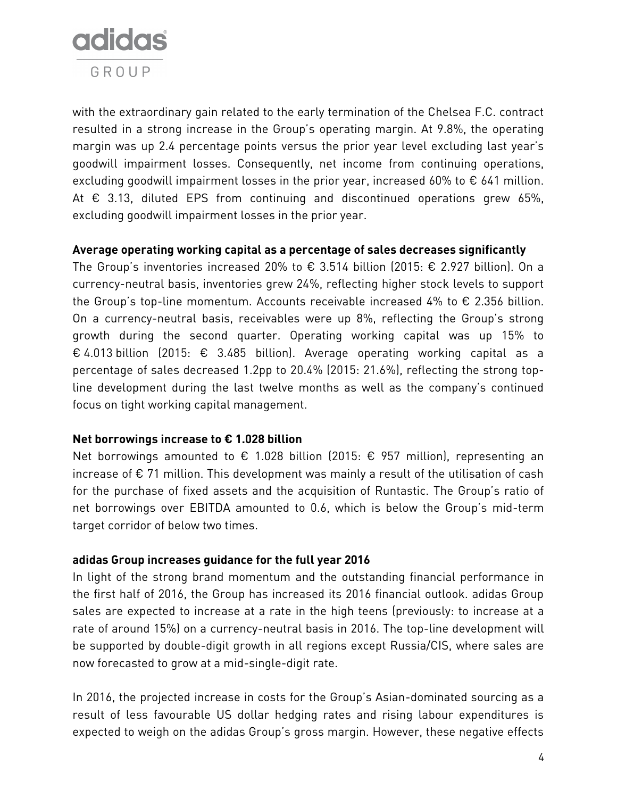

with the extraordinary gain related to the early termination of the Chelsea F.C. contract resulted in a strong increase in the Group's operating margin. At 9.8%, the operating margin was up 2.4 percentage points versus the prior year level excluding last year's goodwill impairment losses. Consequently, net income from continuing operations, excluding goodwill impairment losses in the prior year, increased 60% to  $\epsilon$  641 million. At  $\epsilon$  3.13, diluted EPS from continuing and discontinued operations grew 65%, excluding goodwill impairment losses in the prior year.

# **Average operating working capital as a percentage of sales decreases significantly**

The Group's inventories increased 20% to  $\epsilon$  3.514 billion (2015:  $\epsilon$  2.927 billion). On a currency-neutral basis, inventories grew 24%, reflecting higher stock levels to support the Group's top-line momentum. Accounts receivable increased 4% to  $\epsilon$  2.356 billion. On a currency-neutral basis, receivables were up 8%, reflecting the Group's strong growth during the second quarter. Operating working capital was up 15% to € 4.013 billion (2015: € 3.485 billion). Average operating working capital as a percentage of sales decreased 1.2pp to 20.4% (2015: 21.6%), reflecting the strong topline development during the last twelve months as well as the company's continued focus on tight working capital management.

# **Net borrowings increase to € 1.028 billion**

Net borrowings amounted to  $\epsilon$  1.028 billion (2015:  $\epsilon$  957 million), representing an increase of  $\epsilon$  71 million. This development was mainly a result of the utilisation of cash for the purchase of fixed assets and the acquisition of Runtastic. The Group's ratio of net borrowings over EBITDA amounted to 0.6, which is below the Group's mid-term target corridor of below two times.

# **adidas Group increases guidance for the full year 2016**

In light of the strong brand momentum and the outstanding financial performance in the first half of 2016, the Group has increased its 2016 financial outlook. adidas Group sales are expected to increase at a rate in the high teens (previously: to increase at a rate of around 15%) on a currency-neutral basis in 2016. The top-line development will be supported by double-digit growth in all regions except Russia/CIS, where sales are now forecasted to grow at a mid-single-digit rate.

In 2016, the projected increase in costs for the Group's Asian-dominated sourcing as a result of less favourable US dollar hedging rates and rising labour expenditures is expected to weigh on the adidas Group's gross margin. However, these negative effects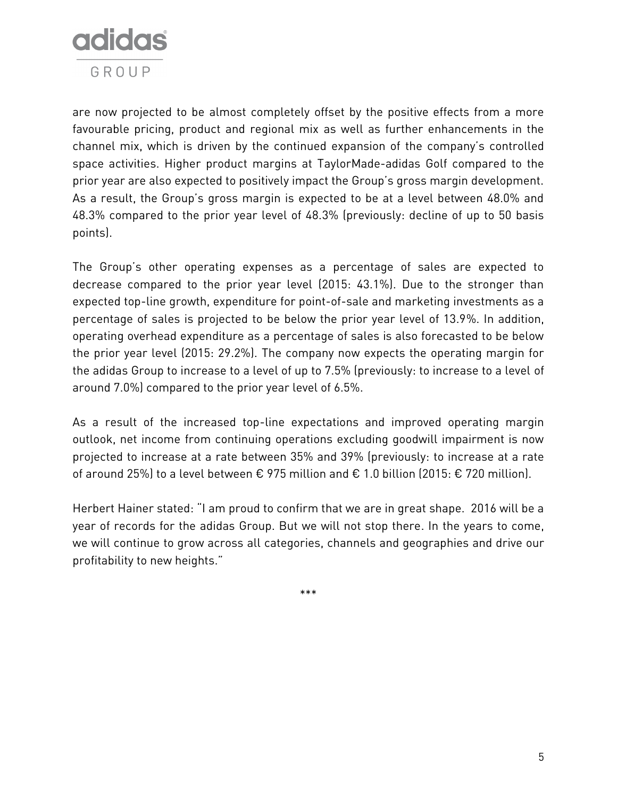

are now projected to be almost completely offset by the positive effects from a more favourable pricing, product and regional mix as well as further enhancements in the channel mix, which is driven by the continued expansion of the company's controlled space activities. Higher product margins at TaylorMade-adidas Golf compared to the prior year are also expected to positively impact the Group's gross margin development. As a result, the Group's gross margin is expected to be at a level between 48.0% and 48.3% compared to the prior year level of 48.3% (previously: decline of up to 50 basis points).

The Group's other operating expenses as a percentage of sales are expected to decrease compared to the prior year level (2015: 43.1%). Due to the stronger than expected top-line growth, expenditure for point-of-sale and marketing investments as a percentage of sales is projected to be below the prior year level of 13.9%. In addition, operating overhead expenditure as a percentage of sales is also forecasted to be below the prior year level (2015: 29.2%). The company now expects the operating margin for the adidas Group to increase to a level of up to 7.5% (previously: to increase to a level of around 7.0%) compared to the prior year level of 6.5%.

As a result of the increased top-line expectations and improved operating margin outlook, net income from continuing operations excluding goodwill impairment is now projected to increase at a rate between 35% and 39% (previously: to increase at a rate of around 25%) to a level between € 975 million and € 1.0 billion (2015: € 720 million).

Herbert Hainer stated: "I am proud to confirm that we are in great shape. 2016 will be a year of records for the adidas Group. But we will not stop there. In the years to come, we will continue to grow across all categories, channels and geographies and drive our profitability to new heights."

\*\*\*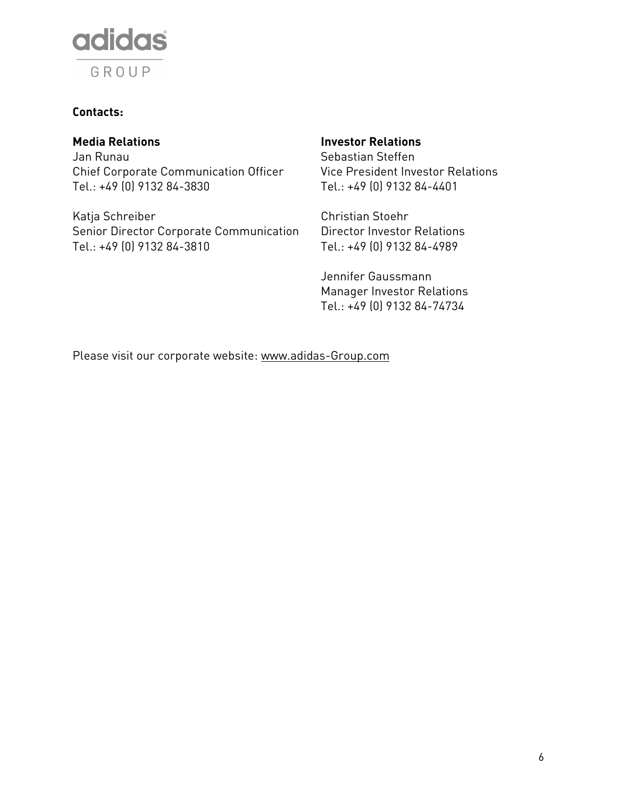

# **Contacts:**

Jan Runau Chief Corporate Communication Officer Tel.: +49 (0) 9132 84-3830

Katja Schreiber Christian Stoehr Senior Director Corporate Communication Tel.: +49 (0) 9132 84-3810

# **Media Relations Investor Relations**

Sebastian Steffen Vice President Investor Relations Tel.: +49 (0) 9132 84-4401

Director Investor Relations Tel.: +49 (0) 9132 84-4989

Jennifer Gaussmann Manager Investor Relations Tel.: +49 (0) 9132 84-74734

Please visit our corporate website: [www.adidas-Group.com](http://www.adidas-group.com/)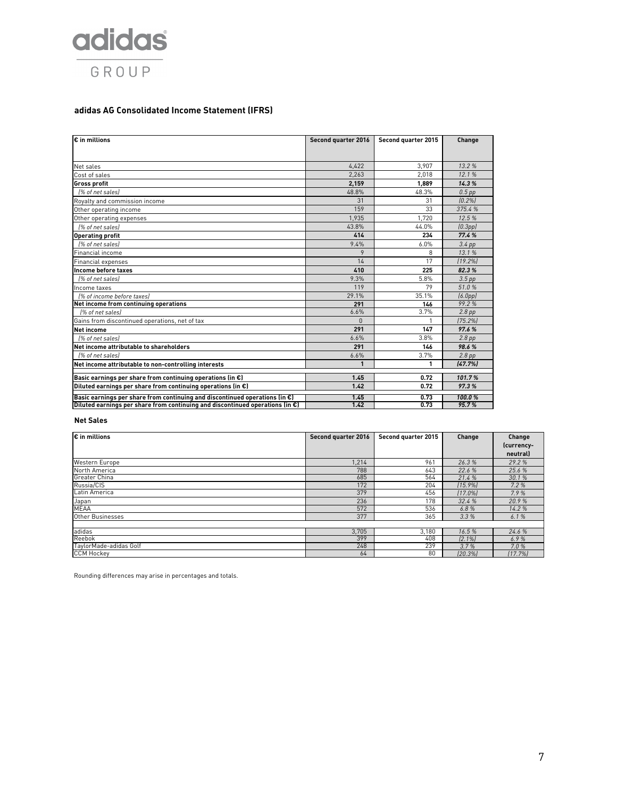

### **adidas AG Consolidated Income Statement (IFRS)**

| $\varepsilon$ in millions                                                               | Second quarter 2016 | Second quarter 2015 | Change               |
|-----------------------------------------------------------------------------------------|---------------------|---------------------|----------------------|
|                                                                                         |                     |                     |                      |
| Net sales                                                                               | 4.422               | 3.907               | 13.2%                |
| Cost of sales                                                                           | 2.263               | 2.018               | 12.1%                |
| <b>Gross profit</b>                                                                     | 2.159               | 1.889               | 14.3%                |
| 1% of net sales)                                                                        | 48.8%               | 48.3%               | $0.5$ pp             |
| Royalty and commission income                                                           | 31                  | 31                  | [0.2%]               |
| Other operating income                                                                  | 159                 | 33                  | 375.4 %              |
| Other operating expenses                                                                | 1.935               | 1.720               | 12.5%                |
| [% of net sales]                                                                        | 43.8%               | 44.0%               | [0.3pp]              |
| <b>Operating profit</b>                                                                 | 414                 | 234                 | 77.4%                |
| 1% of net sales)                                                                        | 9.4%                | 6.0%                | $3.4$ pp             |
| Financial income                                                                        | 9                   | 8                   | 13.1%                |
| Financial expenses                                                                      | 14                  | 17                  | [19.2%]              |
| Income before taxes                                                                     | 410                 | 225                 | 82.3%                |
| [% of net sales]                                                                        | 9.3%                | 5.8%                | 3.5 <sub>pp</sub>    |
| Income taxes                                                                            | 119                 | 79                  | 51.0%                |
| 1% of income before taxes)                                                              | 29.1%               | 35.1%               | (6.0 <sub>pp</sub> ) |
| Net income from continuing operations                                                   | 291                 | 146                 | 99.2%                |
| 1% of net sales)                                                                        | 6.6%                | 3.7%                | 2.8 <sub>pp</sub>    |
| Gains from discontinued operations, net of tax                                          | $\Omega$            | 1                   | [75.2%]              |
| <b>Net income</b>                                                                       | 291                 | 147                 | 97.6%                |
| 1% of net sales)                                                                        | 6.6%                | 3.8%                | 2.8 <sub>pp</sub>    |
| Net income attributable to shareholders                                                 | 291                 | 146                 | 98.6%                |
| 1% of net salesi                                                                        | 6.6%                | 3.7%                | $2.8$ pp             |
| Net income attributable to non-controlling interests                                    | 1                   | 1                   | (47.7%)              |
| Basic earnings per share from continuing operations (in $\epsilon$ )                    | 1.45                | 0.72                | 101.7%               |
| Diluted earnings per share from continuing operations (in $\epsilon$ )                  | 1.42                | 0.72                | 97.3%                |
| Basic earnings per share from continuing and discontinued operations (in $\epsilon$ )   | 1.45                | 0.73                | 100.0%               |
| Diluted earnings per share from continuing and discontinued operations (in $\epsilon$ ) | 1.42                | 0.73                | 95.7%                |

#### **Net Sales**

| $\varepsilon$ in millions | Second quarter 2016 | Second quarter 2015 | Change    | Change     |
|---------------------------|---------------------|---------------------|-----------|------------|
|                           |                     |                     |           | (currency- |
|                           |                     |                     |           | neutral)   |
| Western Europe            | 1,214               | 961                 | 26.3%     | 29.2%      |
| North America             | 788                 | 643                 | 22.6 %    | 25.6 %     |
| <b>Greater China</b>      | 685                 | 564                 | 21.4%     | 30.1%      |
| Russia/CIS                | 172                 | 204                 | [15.9%]   | 7.2%       |
| Latin America             | 379                 | 456                 | 17.0%     | 7.9%       |
| Japan                     | 236                 | 178                 | 32.4 %    | 20.9%      |
| <b>MEAA</b>               | 572                 | 536                 | 6.8%      | 14.2%      |
| Other Businesses          | 377                 | 365                 | 3.3%      | 6.1%       |
|                           |                     |                     |           |            |
| adidas                    | 3,705               | 3,180               | 16.5%     | 24.6 %     |
| Reebok                    | 399                 | 408                 | $[2.1\%]$ | 6.9%       |
| TaylorMade-adidas Golf    | 248                 | 239                 | 3.7%      | 7.0%       |
| <b>CCM Hockey</b>         | 64                  | 80                  | [20.3%]   | [17.7%]    |

Rounding differences may arise in percentages and totals.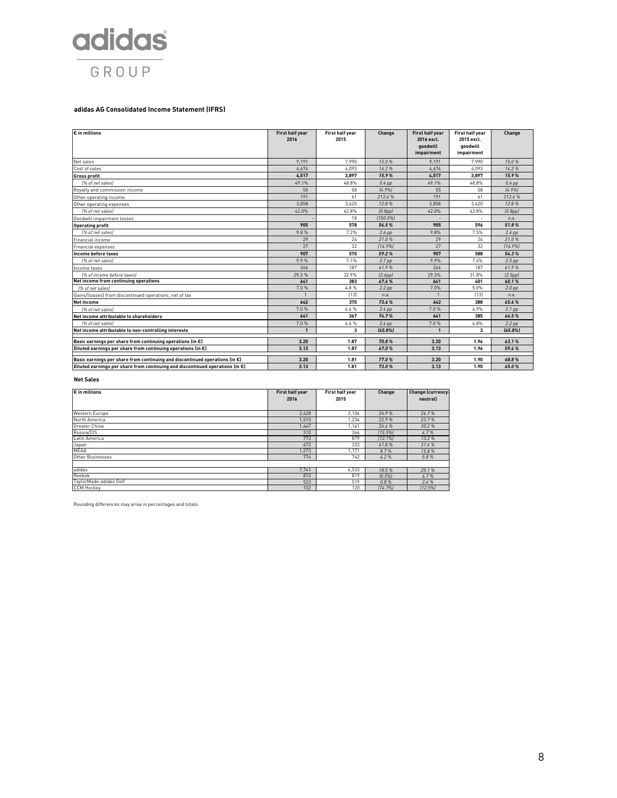

#### **adidas AG Consolidated Income Statement (IFRS)**

| $\overline{\varepsilon}$ in millions                                                  | First half year<br>2016 | First half year<br>2015 | Change            | First half year<br>2016 excl.<br>goodwill<br>impairment | First half year<br>2015 excl.<br>goodwill<br>impairment | Change            |
|---------------------------------------------------------------------------------------|-------------------------|-------------------------|-------------------|---------------------------------------------------------|---------------------------------------------------------|-------------------|
| Net sales                                                                             | 9,191                   | 7,990                   | 15.0%             | 9,191                                                   | 7,990                                                   | 15.0%             |
| Cost of sales                                                                         | 4.674                   | 4,093                   | 14.2%             | 4.674                                                   | 4.093                                                   | 14.2%             |
| <b>Gross profit</b>                                                                   | 4,517                   | 3,897                   | 15.9%             | 4,517                                                   | 3,897                                                   | 15.9%             |
| [% of net sales]                                                                      | 49.1%                   | 48.8%                   | $0.4$ pp          | 49.1%                                                   | 48.8%                                                   | $0.4$ pp          |
| Royalty and commission income                                                         | 55                      | 58                      | [4.9%]            | 55                                                      | 58                                                      | [4.9%]            |
| Other operating income                                                                | 191                     | 61                      | 213.6%            | 191                                                     | 61                                                      | 213.6%            |
| Other operating expenses                                                              | 3.858                   | 3.420                   | 12.8%             | 3.858                                                   | 3.420                                                   | 12.8%             |
| [% of net sales]                                                                      | 42.0%                   | 42.8%                   | (0.8pp)           | 42.0%                                                   | 42.8%                                                   | (0.8pp)           |
| Goodwill impairment losses                                                            |                         | 18                      | $(100.0\%)$       |                                                         |                                                         | n.a.              |
| <b>Operating profit</b>                                                               | 905                     | 578                     | 56.5%             | 905                                                     | 596                                                     | 51.8%             |
| [% of net sales]                                                                      | 9.8%                    | 7.2%                    | $2.6$ pp          | 9.8%                                                    | 7.5%                                                    | $2.4$ pp          |
| inancial income                                                                       | 29                      | 24                      | 21.0%             | 29                                                      | 24                                                      | 21.0%             |
| <b>Financial expenses</b>                                                             | 27                      | 32                      | 116.9%            | 27                                                      | 32                                                      | (16.9%)           |
| Income before taxes                                                                   | 907                     | 570                     | 59.2%             | 907                                                     | 588                                                     | 54.3%             |
| [% of net sales]                                                                      | 9.9%                    | 7.1%                    | 2.7 <sub>pp</sub> | 9.9%                                                    | 7.4%                                                    | $2.5$ pp          |
| Income taxes                                                                          | 266                     | 187                     | 41.9%             | 266                                                     | 187                                                     | 41.9%             |
| [% of income before taxes]                                                            | 29.3%                   | 32.9%                   | [3.6pp]           | 29.3%                                                   | 31.8%                                                   | (2.5pp)           |
| Net income from continuing operations                                                 | 641                     | 383                     | 67.6%             | 641                                                     | 401                                                     | 60.1%             |
| [% of net sales]                                                                      | 7.0%                    | 4.8%                    | $2.2$ pp          | 7.0%                                                    | 5.0%                                                    | $2.0$ pp          |
| Gains/(losses) from discontinued operations, net of tax                               |                         | [13]                    | n.a.              |                                                         | [13]                                                    | n.a.              |
| Net income                                                                            | 642                     | 370                     | 73.6%             | 642                                                     | 388                                                     | 65.6%             |
| [% of net sales]                                                                      | 7.0%                    | 4.6%                    | $2.4$ pp          | 7.0%                                                    | 4.9%                                                    | 2.1 <sub>pp</sub> |
| Net income attributable to shareholders                                               | 641                     | 367                     | 74.7%             | 641                                                     | 385                                                     | 66.5%             |
| [% of net sales]                                                                      | 7.0%                    | 4.6%                    | $2.4$ pp          | 7.0%                                                    | 4.8%                                                    | $2.2$ pp          |
| Net income attributable to non-controlling interests                                  | $\mathbf 1$             | 3                       | [65.8%]           | 1                                                       | 3                                                       | (65.8%)           |
| Basic earnings per share from continuing operations (in $\epsilon$ )                  | 3.20                    | 1.87                    | 70.8%             | 3.20                                                    | 1.96                                                    | 63.1%             |
| Diluted earnings per share from continuing operations (in $\epsilon$ )                | 3.13                    | 1.87                    | 67.0%             | 3.13                                                    | 1.96                                                    | 59.4%             |
|                                                                                       |                         |                         |                   |                                                         |                                                         |                   |
| Basic earnings per share from continuing and discontinued operations (in $\epsilon$ ) | 3.20                    | 1.81                    | 77.0%             | 3.20                                                    | 1.90                                                    | 68.8%             |
| Diluted earnings per share from continuing and discontinued operations (in €)         | 3.13                    | 1.81                    | 73.0%             | 3.13                                                    | 1.90                                                    | 65.0%             |

#### **Net Sales**

| $\varepsilon$ in millions | First half year<br>2016 | First half year<br>2015 | Change  | Change (currency-<br>neutrall |
|---------------------------|-------------------------|-------------------------|---------|-------------------------------|
| Western Europe            | 2.628                   | 2.104                   | 24.9%   | 26.7%                         |
| North America             | 1.515                   | 1.234                   | 22.9%   | 23.7%                         |
| Greater China             | 1.447                   | 1,161                   | 24.6%   | 30.2%                         |
| Russia/CIS                | 310                     | 366                     | 115.5%  | 4.7%                          |
| Latin America             | 773                     | 879                     | [12.1%] | 13.2%                         |
| Japan                     | 472                     | 333                     | 41.8%   | 31.6%                         |
| <b>MEAA</b>               | 1.273                   | 1.171                   | 8.7%    | 15.8%                         |
| Other Businesses          | 774                     | 742                     | 4.2%    | 5.8%                          |
|                           |                         |                         |         |                               |
| adidas                    | 7,741                   | 6,533                   | 18.5%   | 25.1%                         |
| Reebok                    | 815                     | 819                     | [0.5%]  | 6.7%                          |
| TaylorMade-adidas Golf    | 523                     | 519                     | 0.8%    | 2.4%                          |
| <b>CCM Hockey</b>         | 102                     | 120                     | [14.7%] | [12.5%]                       |

Rounding differences may arise in percentages and totals.